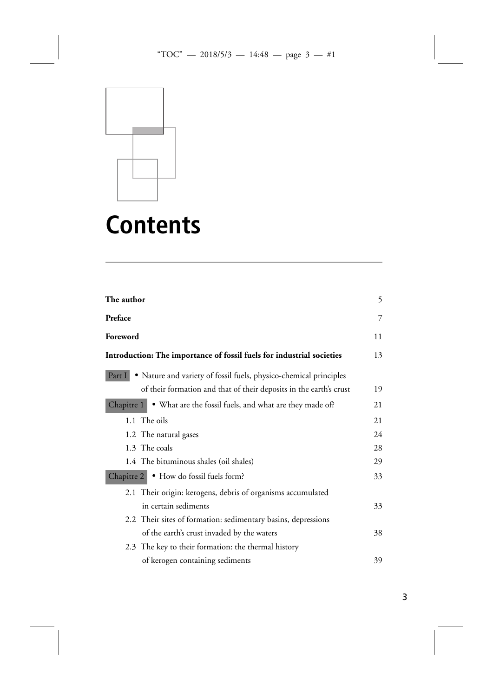

## **Contents**

| The author                                                               | 5  |
|--------------------------------------------------------------------------|----|
| Preface                                                                  | 7  |
| Foreword                                                                 | 11 |
| Introduction: The importance of fossil fuels for industrial societies    | 13 |
| Part I • Nature and variety of fossil fuels, physico-chemical principles |    |
| of their formation and that of their deposits in the earth's crust       | 19 |
| . What are the fossil fuels, and what are they made of?<br>Chapitre 1    | 21 |
| 1.1 The oils                                                             | 21 |
| 1.2 The natural gases                                                    | 24 |
| 1.3 The coals                                                            | 28 |
| 1.4 The bituminous shales (oil shales)                                   | 29 |
| Chapitre 2 • How do fossil fuels form?                                   | 33 |
| 2.1 Their origin: kerogens, debris of organisms accumulated              |    |
| in certain sediments                                                     | 33 |
| 2.2 Their sites of formation: sedimentary basins, depressions            |    |
| of the earth's crust invaded by the waters                               | 38 |
| 2.3 The key to their formation: the thermal history                      |    |
| of kerogen containing sediments                                          | 39 |